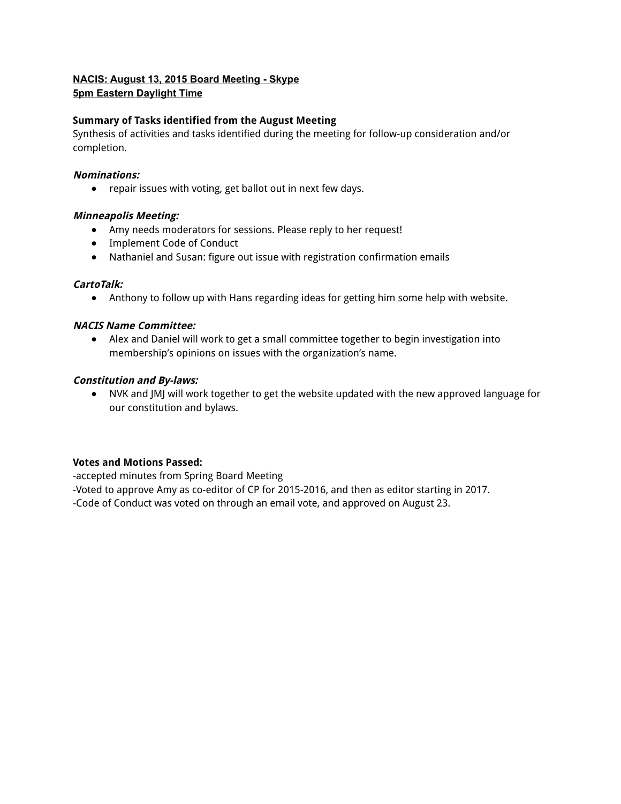## **NACIS: August 13, 2015 Board Meeting Skype 5pm Eastern Daylight Time**

## **Summary of Tasks identified from the August Meeting**

Synthesis of activities and tasks identified during the meeting for follow-up consideration and/or completion.

## **Nominations:**

● repair issues with voting, get ballot out in next few days.

## **Minneapolis Meeting:**

- Amy needs moderators for sessions. Please reply to her request!
- Implement Code of Conduct
- Nathaniel and Susan: figure out issue with registration confirmation emails

## **CartoTalk:**

● Anthony to follow up with Hans regarding ideas for getting him some help with website.

## **NACIS Name Committee:**

● Alex and Daniel will work to get a small committee together to begin investigation into membership's opinions on issues with the organization's name.

## **Constitution and By-laws:**

● NVK and JMJ will work together to get the website updated with the new approved language for our constitution and bylaws.

### **Votes and Motions Passed:**

-accepted minutes from Spring Board Meeting

-Voted to approve Amy as co-editor of CP for 2015-2016, and then as editor starting in 2017.

-Code of Conduct was voted on through an email vote, and approved on August 23.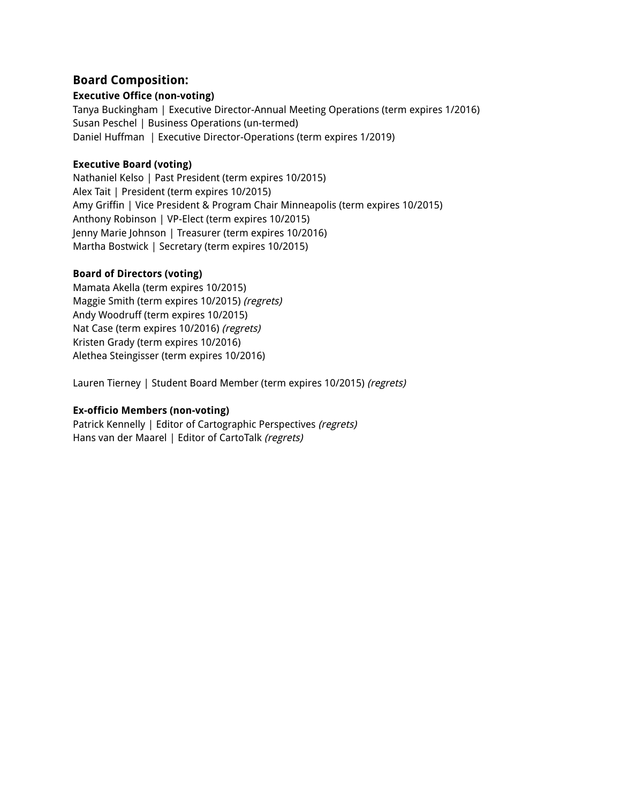# **Board Composition:**

## **Executive Office (non-voting)**

Tanya Buckingham | Executive Director-Annual Meeting Operations (term expires 1/2016) Susan Peschel | Business Operations (un-termed) Daniel Huffman | Executive Director-Operations (term expires 1/2019)

## **Executive Board (voting)**

Nathaniel Kelso | Past President (term expires 10/2015) Alex Tait | President (term expires 10/2015) Amy Griffin | Vice President & Program Chair Minneapolis (term expires 10/2015) Anthony Robinson | VP-Elect (term expires 10/2015) Jenny Marie Johnson | Treasurer (term expires 10/2016) Martha Bostwick | Secretary (term expires 10/2015)

# **Board of Directors (voting)**

Mamata Akella (term expires 10/2015) Maggie Smith (term expires 10/2015) (regrets) Andy Woodruff (term expires 10/2015) Nat Case (term expires 10/2016) (regrets) Kristen Grady (term expires 10/2016) Alethea Steingisser (term expires 10/2016)

Lauren Tierney | Student Board Member (term expires 10/2015) (regrets)

# **Ex-officio Members (non-voting)**

Patrick Kennelly | Editor of Cartographic Perspectives (regrets) Hans van der Maarel | Editor of CartoTalk (regrets)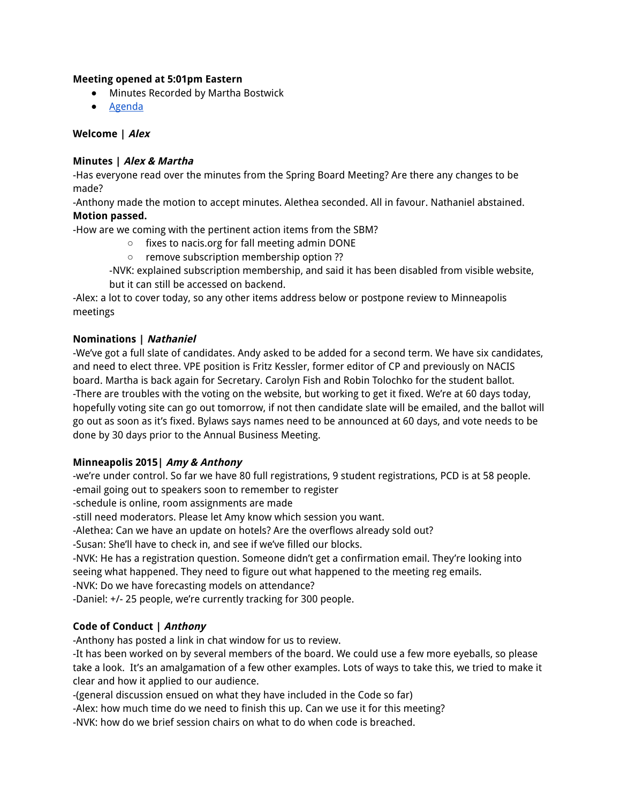### **Meeting opened at 5:01pm Eastern**

- Minutes Recorded by Martha Bostwick
- Agenda

## **Welcome | Alex**

# **Minutes | Alex & Martha**

-Has everyone read over the minutes from the Spring Board Meeting? Are there any changes to be made?

-Anthony made the motion to accept minutes. Alethea seconded. All in favour. Nathaniel abstained. **Motion passed.**

-How are we coming with the pertinent action items from the SBM?

- fixes to nacis.org for fall meeting admin DONE
- remove subscription membership option ??

-NVK: explained subscription membership, and said it has been disabled from visible website, but it can still be accessed on backend.

-Alex: a lot to cover today, so any other items address below or postpone review to Minneapolis meetings

### **Nominations | Nathaniel**

-We've got a full slate of candidates. Andy asked to be added for a second term. We have six candidates, and need to elect three. VPE position is Fritz Kessler, former editor of CP and previously on NACIS board. Martha is back again for Secretary. Carolyn Fish and Robin Tolochko for the student ballot. -There are troubles with the voting on the website, but working to get it fixed. We're at 60 days today, hopefully voting site can go out tomorrow, if not then candidate slate will be emailed, and the ballot will go out as soon as it's fixed. Bylaws says names need to be announced at 60 days, and vote needs to be done by 30 days prior to the Annual Business Meeting.

### **Minneapolis 2015| Amy & Anthony**

-we're under control. So far we have 80 full registrations, 9 student registrations, PCD is at 58 people. -email going out to speakers soon to remember to register

-schedule is online, room assignments are made

-still need moderators. Please let Amy know which session you want.

-Alethea: Can we have an update on hotels? Are the overflows already sold out?

-Susan: She'll have to check in, and see if we've filled our blocks.

-NVK: He has a registration question. Someone didn't get a confirmation email. They're looking into seeing what happened. They need to figure out what happened to the meeting reg emails.

-NVK: Do we have forecasting models on attendance?

-Daniel: +/- 25 people, we're currently tracking for 300 people.

# **Code of Conduct | Anthony**

-Anthony has posted a link in chat window for us to review.

-It has been worked on by several members of the board. We could use a few more eyeballs, so please take a look. It's an amalgamation of a few other examples. Lots of ways to take this, we tried to make it clear and how it applied to our audience.

-(general discussion ensued on what they have included in the Code so far)

-Alex: how much time do we need to finish this up. Can we use it for this meeting?

-NVK: how do we brief session chairs on what to do when code is breached.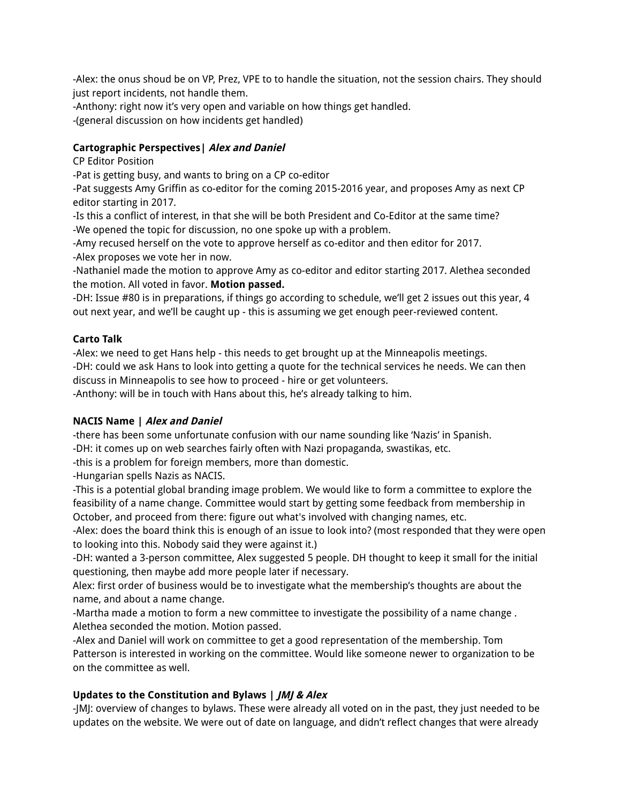-Alex: the onus shoud be on VP, Prez, VPE to to handle the situation, not the session chairs. They should just report incidents, not handle them.

-Anthony: right now it's very open and variable on how things get handled. -(general discussion on how incidents get handled)

# **Cartographic Perspectives| Alex and Daniel**

CP Editor Position

-Pat is getting busy, and wants to bring on a CP co-editor

-Pat suggests Amy Griffin as co-editor for the coming 2015-2016 year, and proposes Amy as next CP editor starting in 2017.

-Is this a conflict of interest, in that she will be both President and Co-Editor at the same time? -We opened the topic for discussion, no one spoke up with a problem.

-Amy recused herself on the vote to approve herself as co-editor and then editor for 2017. -Alex proposes we vote her in now.

-Nathaniel made the motion to approve Amy as co-editor and editor starting 2017. Alethea seconded the motion. All voted in favor. **Motion passed.**

-DH: Issue #80 is in preparations, if things go according to schedule, we'll get 2 issues out this year, 4 out next year, and we'll be caught up - this is assuming we get enough peer-reviewed content.

# **Carto Talk**

-Alex: we need to get Hans help - this needs to get brought up at the Minneapolis meetings. -DH: could we ask Hans to look into getting a quote for the technical services he needs. We can then discuss in Minneapolis to see how to proceed - hire or get volunteers.

-Anthony: will be in touch with Hans about this, he's already talking to him.

# **NACIS Name | Alex and Daniel**

-there has been some unfortunate confusion with our name sounding like 'Nazis' in Spanish. -DH: it comes up on web searches fairly often with Nazi propaganda, swastikas, etc.

-this is a problem for foreign members, more than domestic.

-Hungarian spells Nazis as NACIS.

-This is a potential global branding image problem. We would like to form a committee to explore the feasibility of a name change. Committee would start by getting some feedback from membership in October, and proceed from there: figure out what's involved with changing names, etc.

-Alex: does the board think this is enough of an issue to look into? (most responded that they were open to looking into this. Nobody said they were against it.)

-DH: wanted a 3-person committee, Alex suggested 5 people. DH thought to keep it small for the initial questioning, then maybe add more people later if necessary.

Alex: first order of business would be to investigate what the membership's thoughts are about the name, and about a name change.

-Martha made a motion to form a new committee to investigate the possibility of a name change . Alethea seconded the motion. Motion passed.

-Alex and Daniel will work on committee to get a good representation of the membership. Tom Patterson is interested in working on the committee. Would like someone newer to organization to be on the committee as well.

# **Updates to the Constitution and Bylaws | JMJ & Alex**

-JMJ: overview of changes to bylaws. These were already all voted on in the past, they just needed to be updates on the website. We were out of date on language, and didn't reflect changes that were already